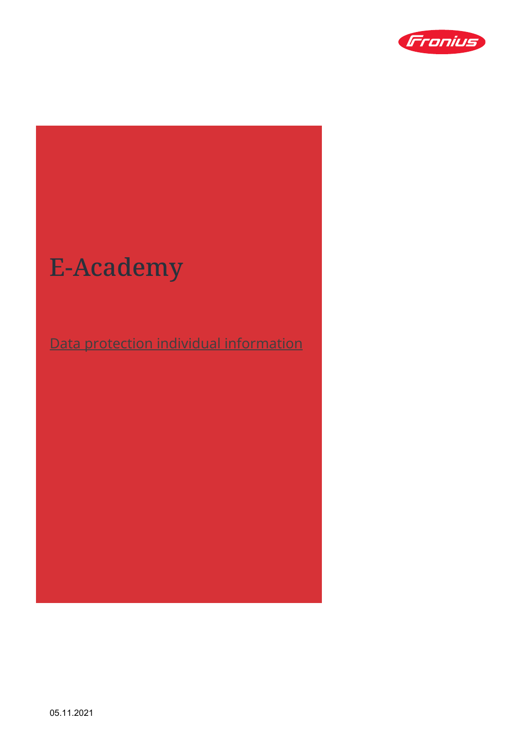

# E-Academy

## Data protection individual information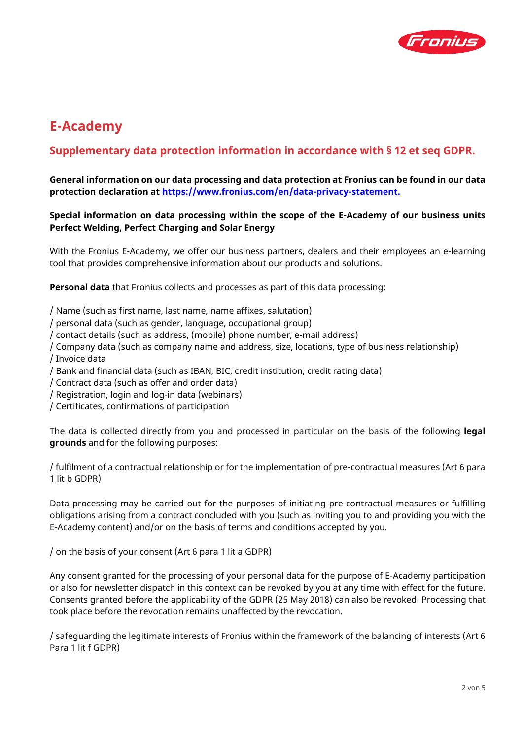

## **E-Academy**

### **Supplementary data protection information in accordance with § 12 et seq GDPR.**

#### **General information on our data processing and data protection at Fronius can be found in our data protection declaration at https://www[.fronius.](https://www.fronius.com/en/data-privacy-statement)com/en/data-privacy-statement.**

#### **Special information on data processing within the scope of the E-Academy of our business units Perfect Welding, Perfect Charging and Solar Energy**

With the Fronius E-Academy, we offer our business partners, dealers and their employees an e-learning tool that provides comprehensive information about our products and solutions.

**Personal data** that Fronius collects and processes as part of this data processing:

/ Name (such as first name, last name, name affixes, salutation)

- / personal data (such as gender, language, occupational group)
- / contact details (such as address, (mobile) phone number, e-mail address)
- / Company data (such as company name and address, size, locations, type of business relationship) / Invoice data
- / Bank and financial data (such as IBAN, BIC, credit institution, credit rating data)
- / Contract data (such as offer and order data)
- / Registration, login and log-in data (webinars)
- / Certificates, confirmations of participation

The data is collected directly from you and processed in particular on the basis of the following **legal grounds** and for the following purposes:

/ fulfilment of a contractual relationship or for the implementation of pre-contractual measures (Art 6 para 1 lit b GDPR)

Data processing may be carried out for the purposes of initiating pre-contractual measures or fulfilling obligations arising from a contract concluded with you (such as inviting you to and providing you with the E-Academy content) and/or on the basis of terms and conditions accepted by you.

/ on the basis of your consent (Art 6 para 1 lit a GDPR)

Any consent granted for the processing of your personal data for the purpose of E-Academy participation or also for newsletter dispatch in this context can be revoked by you at any time with effect for the future. Consents granted before the applicability of the GDPR (25 May 2018) can also be revoked. Processing that took place before the revocation remains unaffected by the revocation.

/ safeguarding the legitimate interests of Fronius within the framework of the balancing of interests (Art 6 Para 1 lit f GDPR)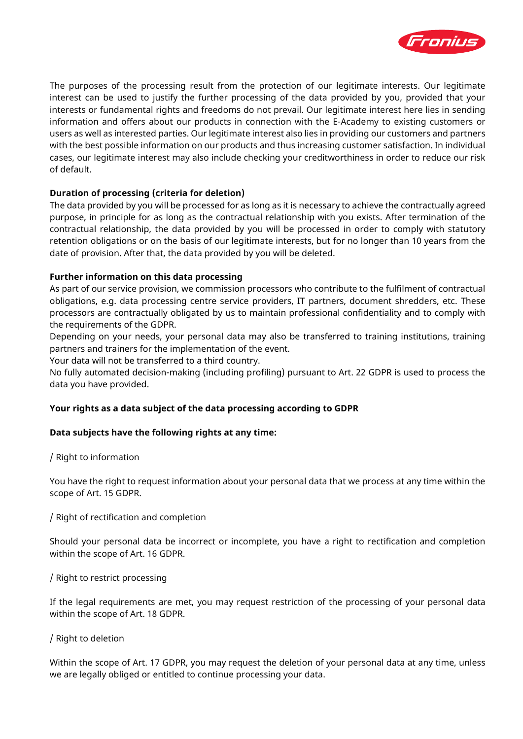

The purposes of the processing result from the protection of our legitimate interests. Our legitimate interest can be used to justify the further processing of the data provided by you, provided that your interests or fundamental rights and freedoms do not prevail. Our legitimate interest here lies in sending information and offers about our products in connection with the E-Academy to existing customers or users as well as interested parties. Our legitimate interest also lies in providing our customers and partners with the best possible information on our products and thus increasing customer satisfaction. In individual cases, our legitimate interest may also include checking your creditworthiness in order to reduce our risk of default.

#### **Duration of processing (criteria for deletion)**

The data provided by you will be processed for as long as it is necessary to achieve the contractually agreed purpose, in principle for as long as the contractual relationship with you exists. After termination of the contractual relationship, the data provided by you will be processed in order to comply with statutory retention obligations or on the basis of our legitimate interests, but for no longer than 10 years from the date of provision. After that, the data provided by you will be deleted.

#### **Further information on this data processing**

As part of our service provision, we commission processors who contribute to the fulfilment of contractual obligations, e.g. data processing centre service providers, IT partners, document shredders, etc. These processors are contractually obligated by us to maintain professional confidentiality and to comply with the requirements of the GDPR.

Depending on your needs, your personal data may also be transferred to training institutions, training partners and trainers for the implementation of the event.

Your data will not be transferred to a third country.

No fully automated decision-making (including profiling) pursuant to Art. 22 GDPR is used to process the data you have provided.

#### **Your rights as a data subject of the data processing according to GDPR**

#### **Data subjects have the following rights at any time:**

#### / Right to information

You have the right to request information about your personal data that we process at any time within the scope of Art. 15 GDPR.

/ Right of rectification and completion

Should your personal data be incorrect or incomplete, you have a right to rectification and completion within the scope of Art. 16 GDPR.

#### / Right to restrict processing

If the legal requirements are met, you may request restriction of the processing of your personal data within the scope of Art. 18 GDPR.

#### / Right to deletion

Within the scope of Art. 17 GDPR, you may request the deletion of your personal data at any time, unless we are legally obliged or entitled to continue processing your data.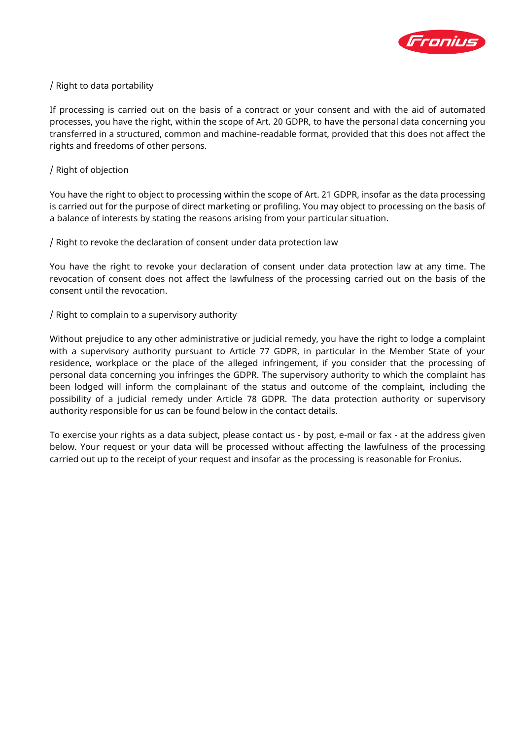

#### / Right to data portability

If processing is carried out on the basis of a contract or your consent and with the aid of automated processes, you have the right, within the scope of Art. 20 GDPR, to have the personal data concerning you transferred in a structured, common and machine-readable format, provided that this does not affect the rights and freedoms of other persons.

#### / Right of objection

You have the right to object to processing within the scope of Art. 21 GDPR, insofar as the data processing is carried out for the purpose of direct marketing or profiling. You may object to processing on the basis of a balance of interests by stating the reasons arising from your particular situation.

/ Right to revoke the declaration of consent under data protection law

You have the right to revoke your declaration of consent under data protection law at any time. The revocation of consent does not affect the lawfulness of the processing carried out on the basis of the consent until the revocation.

#### / Right to complain to a supervisory authority

Without prejudice to any other administrative or judicial remedy, you have the right to lodge a complaint with a supervisory authority pursuant to Article 77 GDPR, in particular in the Member State of your residence, workplace or the place of the alleged infringement, if you consider that the processing of personal data concerning you infringes the GDPR. The supervisory authority to which the complaint has been lodged will inform the complainant of the status and outcome of the complaint, including the possibility of a judicial remedy under Article 78 GDPR. The data protection authority or supervisory authority responsible for us can be found below in the contact details.

To exercise your rights as a data subject, please contact us - by post, e-mail or fax - at the address given below. Your request or your data will be processed without affecting the lawfulness of the processing carried out up to the receipt of your request and insofar as the processing is reasonable for Fronius.